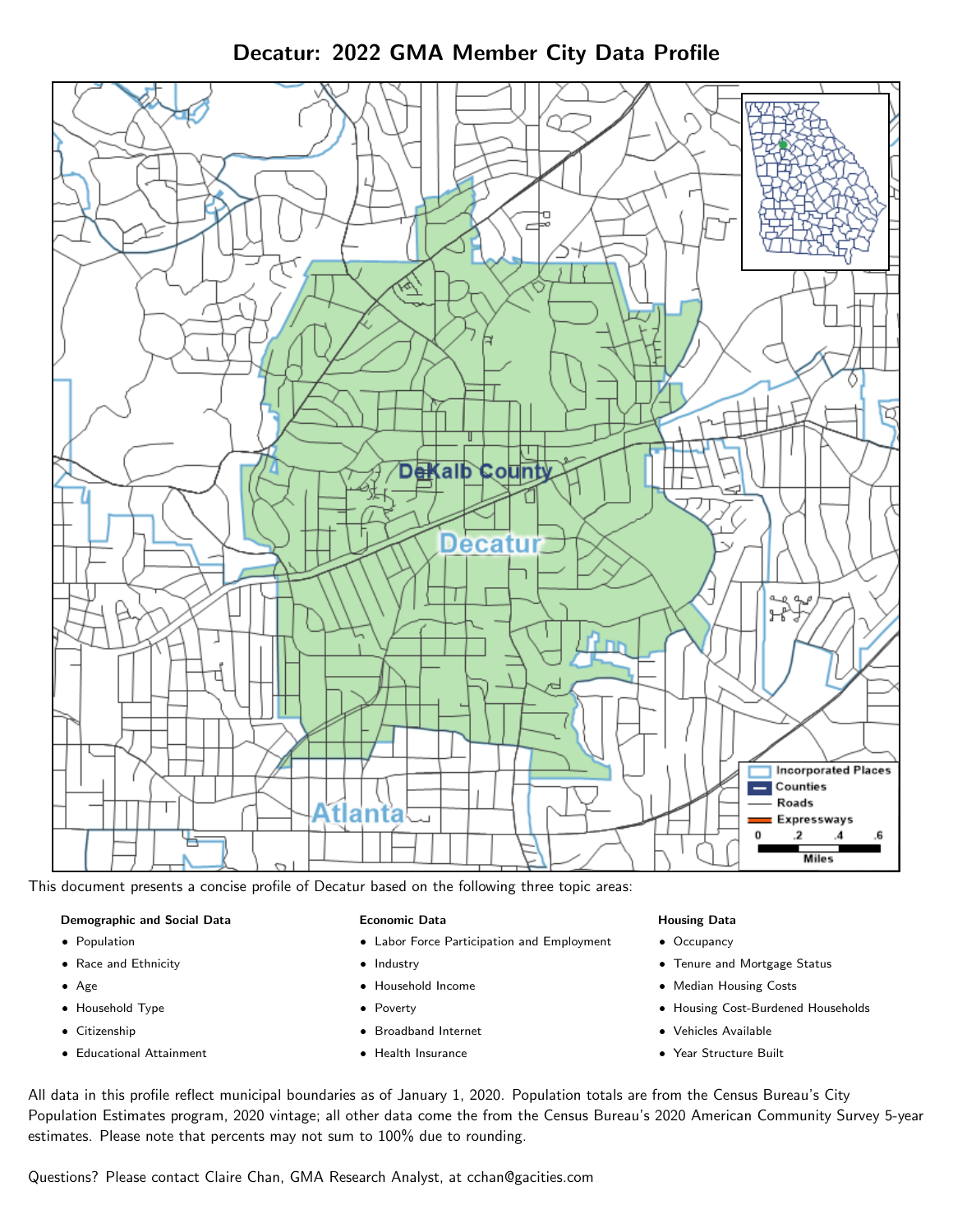Decatur: 2022 GMA Member City Data Profile



This document presents a concise profile of Decatur based on the following three topic areas:

### Demographic and Social Data

- **•** Population
- Race and Ethnicity
- Age
- Household Type
- **Citizenship**
- Educational Attainment

#### Economic Data

- Labor Force Participation and Employment
- Industry
- Household Income
- Poverty
- Broadband Internet
- Health Insurance

#### Housing Data

- Occupancy
- Tenure and Mortgage Status
- Median Housing Costs
- Housing Cost-Burdened Households
- Vehicles Available
- Year Structure Built

All data in this profile reflect municipal boundaries as of January 1, 2020. Population totals are from the Census Bureau's City Population Estimates program, 2020 vintage; all other data come the from the Census Bureau's 2020 American Community Survey 5-year estimates. Please note that percents may not sum to 100% due to rounding.

Questions? Please contact Claire Chan, GMA Research Analyst, at [cchan@gacities.com.](mailto:cchan@gacities.com)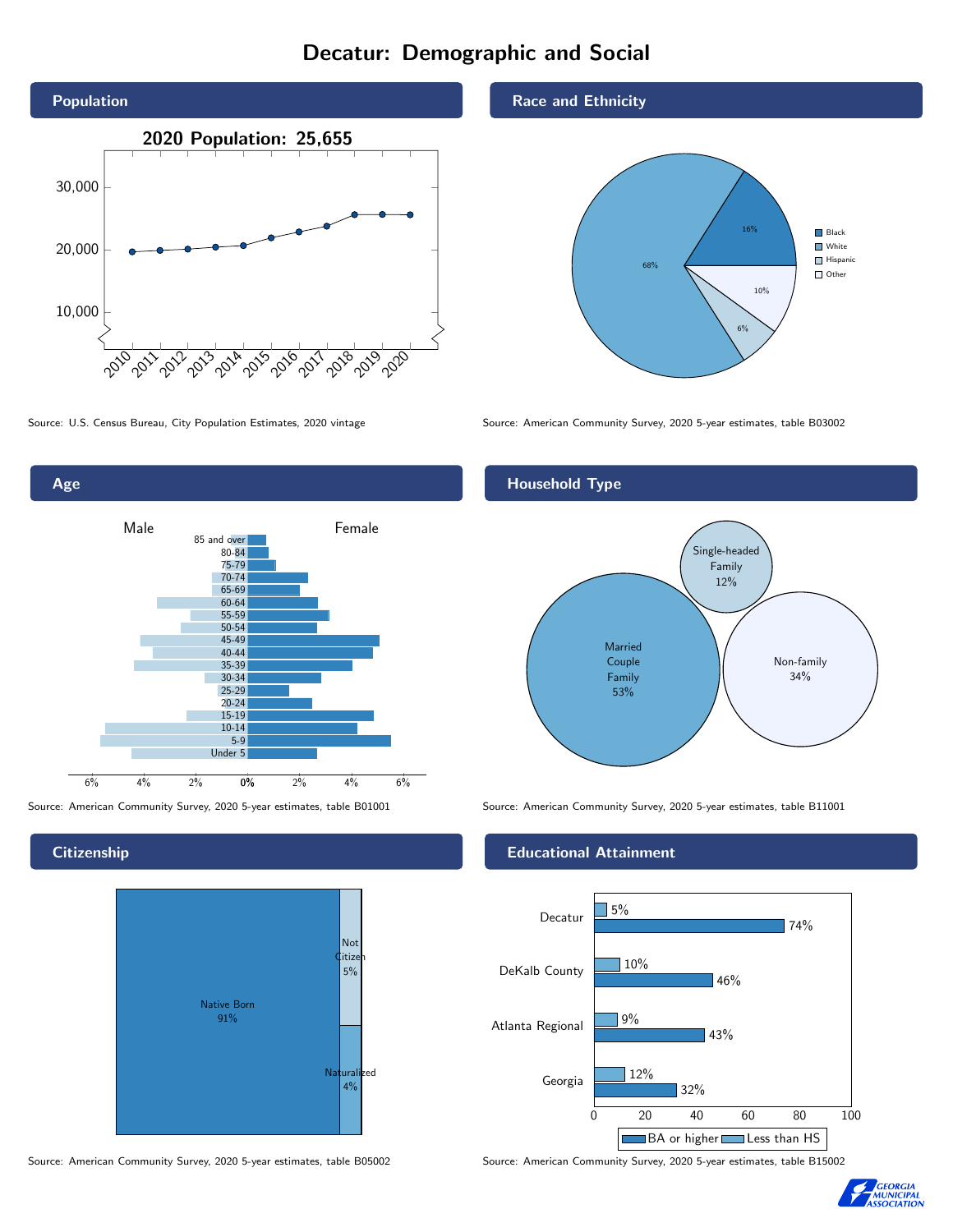# Decatur: Demographic and Social





**Citizenship** 



Source: American Community Survey, 2020 5-year estimates, table B05002 Source: American Community Survey, 2020 5-year estimates, table B15002

Race and Ethnicity



Source: U.S. Census Bureau, City Population Estimates, 2020 vintage Source: American Community Survey, 2020 5-year estimates, table B03002

## Household Type



Source: American Community Survey, 2020 5-year estimates, table B01001 Source: American Community Survey, 2020 5-year estimates, table B11001

### Educational Attainment



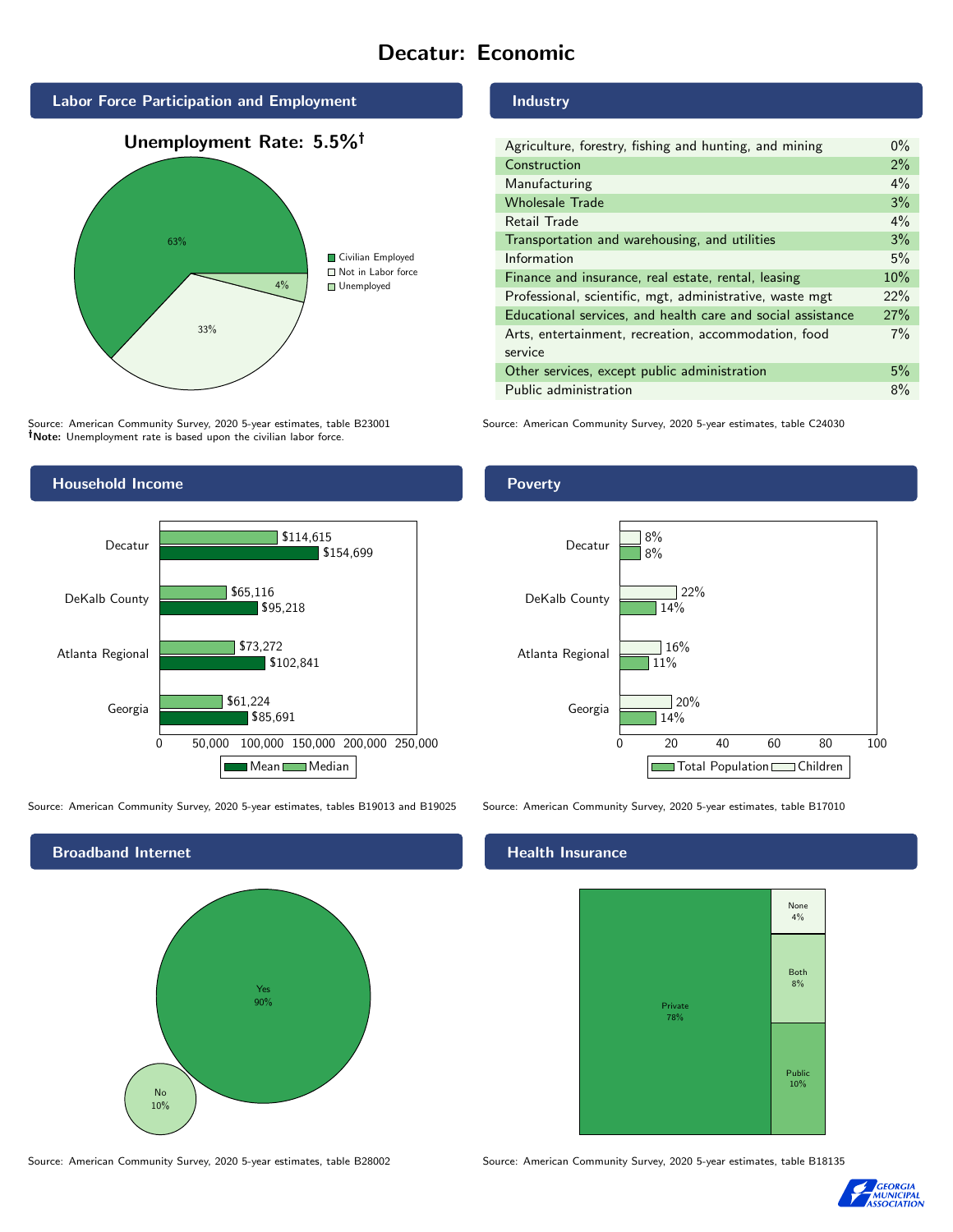# Decatur: Economic







Source: American Community Survey, 2020 5-year estimates, table B23001 Note: Unemployment rate is based upon the civilian labor force.



Source: American Community Survey, 2020 5-year estimates, tables B19013 and B19025 Source: American Community Survey, 2020 5-year estimates, table B17010



Source: American Community Survey, 2020 5-year estimates, table B28002 Source: American Community Survey, 2020 5-year estimates, table B18135

#### Industry

| Agriculture, forestry, fishing and hunting, and mining      | $0\%$ |
|-------------------------------------------------------------|-------|
| Construction                                                | 2%    |
| Manufacturing                                               | 4%    |
| <b>Wholesale Trade</b>                                      | 3%    |
| Retail Trade                                                | $4\%$ |
| Transportation and warehousing, and utilities               | 3%    |
| Information                                                 | 5%    |
| Finance and insurance, real estate, rental, leasing         | 10%   |
| Professional, scientific, mgt, administrative, waste mgt    | 22%   |
| Educational services, and health care and social assistance | 27%   |
| Arts, entertainment, recreation, accommodation, food        | $7\%$ |
| service                                                     |       |
| Other services, except public administration                | 5%    |
| Public administration                                       | 8%    |

Source: American Community Survey, 2020 5-year estimates, table C24030

## Poverty



## **Health Insurance**